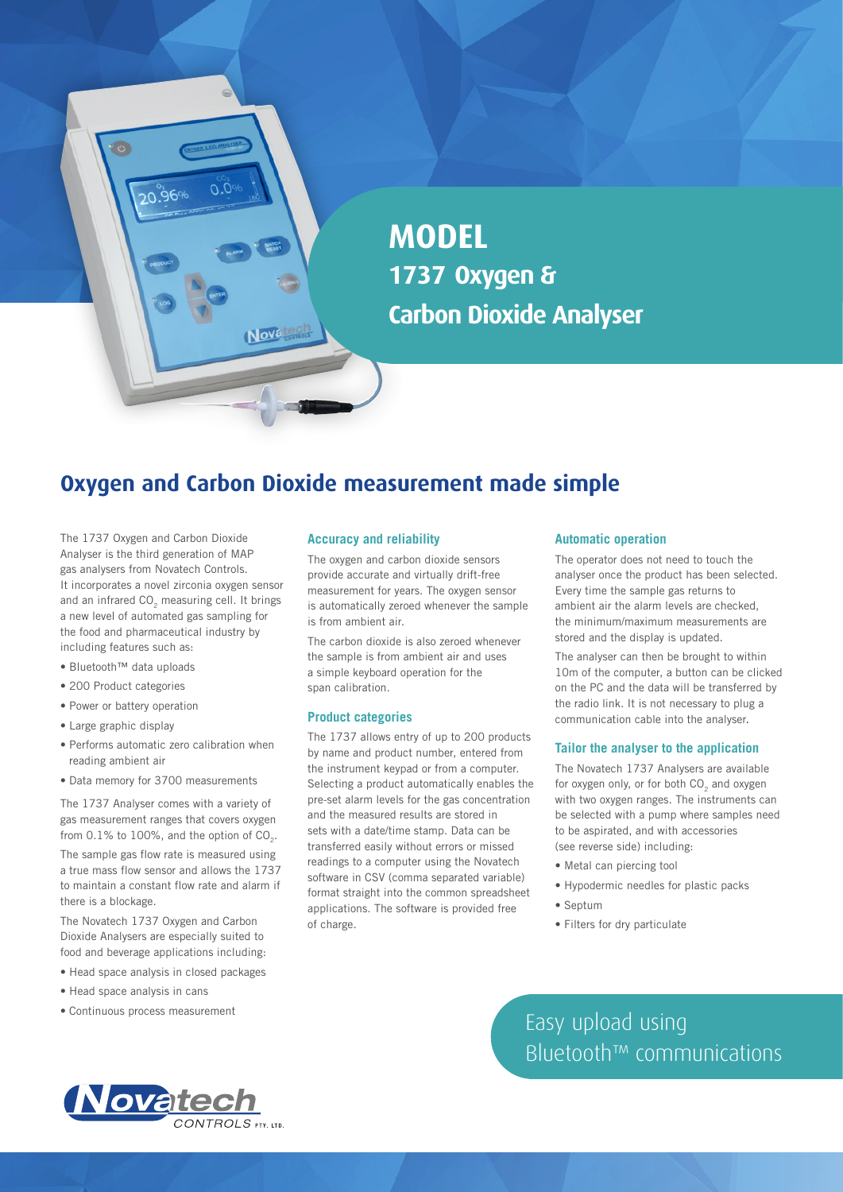**MODEL 1737 Oxygen & Carbon Dioxide Analyser**

# **Oxygen and Carbon Dioxide measurement made simple**

Novatech

The 1737 Oxygen and Carbon Dioxide Analyser is the third generation of MAP gas analysers from Novatech Controls. It incorporates a novel zirconia oxygen sensor and an infrared CO<sub>2</sub> measuring cell. It brings a new level of automated gas sampling for the food and pharmaceutical industry by including features such as:

• Bluetooth™ data uploads

 $\bullet$ 

20.96%

- 200 Product categories
- Power or battery operation
- Large graphic display
- Performs automatic zero calibration when reading ambient air
- Data memory for 3700 measurements

The 1737 Analyser comes with a variety of gas measurement ranges that covers oxygen from  $0.1\%$  to  $100\%$ , and the option of  $CO<sub>2</sub>$ . The sample gas flow rate is measured using a true mass flow sensor and allows the 1737 to maintain a constant flow rate and alarm if

there is a blockage. The Novatech 1737 Oxygen and Carbon Dioxide Analysers are especially suited to food and beverage applications including:

- Head space analysis in closed packages
- Head space analysis in cans
- Continuous process measurement

#### **Accuracy and reliability**

The oxygen and carbon dioxide sensors provide accurate and virtually drift-free measurement for years. The oxygen sensor is automatically zeroed whenever the sample is from ambient air.

The carbon dioxide is also zeroed whenever the sample is from ambient air and uses a simple keyboard operation for the span calibration.

#### **Product categories**

The 1737 allows entry of up to 200 products by name and product number, entered from the instrument keypad or from a computer. Selecting a product automatically enables the pre-set alarm levels for the gas concentration and the measured results are stored in sets with a date/time stamp. Data can be transferred easily without errors or missed readings to a computer using the Novatech software in CSV (comma separated variable) format straight into the common spreadsheet applications. The software is provided free of charge.

#### **Automatic operation**

The operator does not need to touch the analyser once the product has been selected. Every time the sample gas returns to ambient air the alarm levels are checked, the minimum/maximum measurements are stored and the display is updated.

The analyser can then be brought to within 10m of the computer, a button can be clicked on the PC and the data will be transferred by the radio link. It is not necessary to plug a communication cable into the analyser.

#### **Tailor the analyser to the application**

The Novatech 1737 Analysers are available for oxygen only, or for both CO<sub>2</sub> and oxygen with two oxygen ranges. The instruments can be selected with a pump where samples need to be aspirated, and with accessories (see reverse side) including:

- Metal can piercing tool
- Hypodermic needles for plastic packs
- Septum
- Filters for dry particulate

Easy upload using Bluetooth™ communications